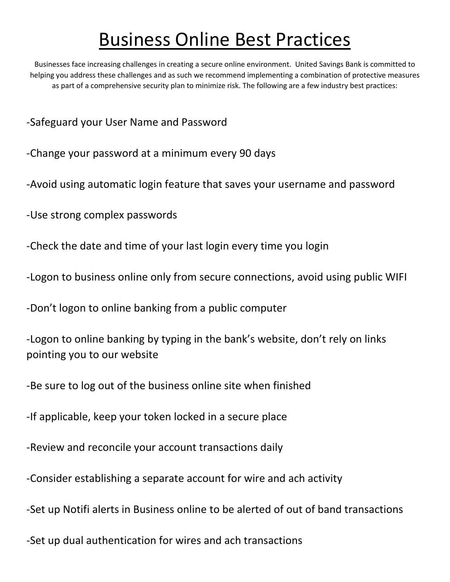## Business Online Best Practices

Businesses face increasing challenges in creating a secure online environment. United Savings Bank is committed to helping you address these challenges and as such we recommend implementing a combination of protective measures as part of a comprehensive security plan to minimize risk. The following are a few industry best practices:

- -Safeguard your User Name and Password
- -Change your password at a minimum every 90 days
- -Avoid using automatic login feature that saves your username and password
- -Use strong complex passwords
- -Check the date and time of your last login every time you login
- -Logon to business online only from secure connections, avoid using public WIFI
- -Don't logon to online banking from a public computer
- -Logon to online banking by typing in the bank's website, don't rely on links pointing you to our website
- -Be sure to log out of the business online site when finished
- -If applicable, keep your token locked in a secure place
- -Review and reconcile your account transactions daily
- -Consider establishing a separate account for wire and ach activity
- -Set up Notifi alerts in Business online to be alerted of out of band transactions
- -Set up dual authentication for wires and ach transactions